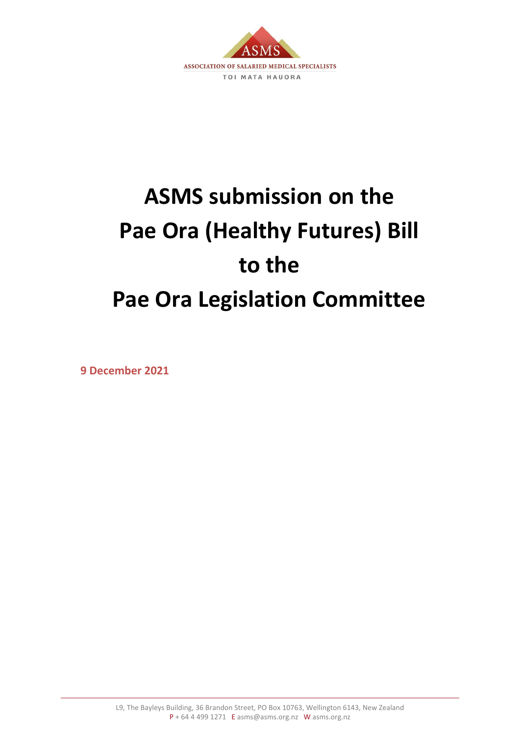

# **ASMS submission on the Pae Ora (Healthy Futures) Bill to the Pae Ora Legislation Committee**

**9 December 2021**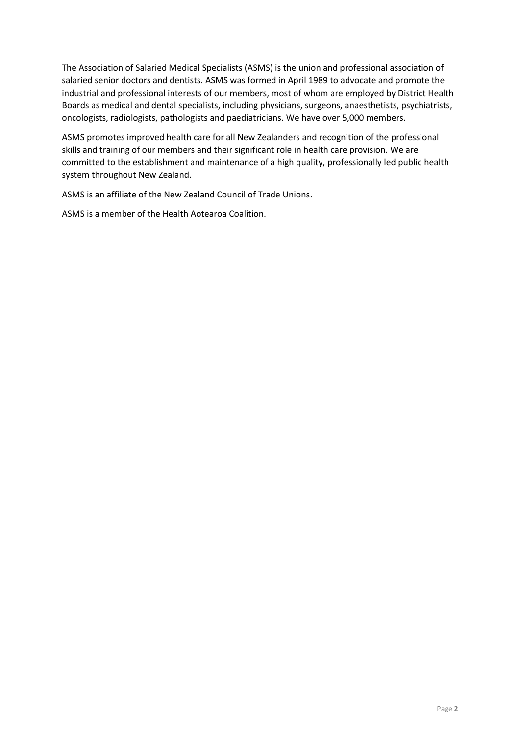The Association of Salaried Medical Specialists (ASMS) is the union and professional association of salaried senior doctors and dentists. ASMS was formed in April 1989 to advocate and promote the industrial and professional interests of our members, most of whom are employed by District Health Boards as medical and dental specialists, including physicians, surgeons, anaesthetists, psychiatrists, oncologists, radiologists, pathologists and paediatricians. We have over 5,000 members.

ASMS promotes improved health care for all New Zealanders and recognition of the professional skills and training of our members and their significant role in health care provision. We are committed to the establishment and maintenance of a high quality, professionally led public health system throughout New Zealand.

ASMS is an affiliate of the New Zealand Council of Trade Unions.

ASMS is a member of the Health Aotearoa Coalition.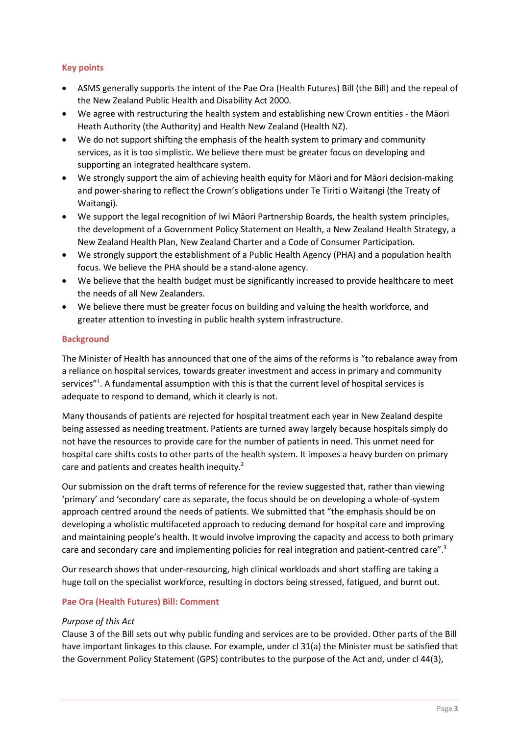## **Key points**

- ASMS generally supports the intent of the Pae Ora (Health Futures) Bill (the Bill) and the repeal of the New Zealand Public Health and Disability Act 2000.
- We agree with restructuring the health system and establishing new Crown entities the Māori Heath Authority (the Authority) and Health New Zealand (Health NZ).
- We do not support shifting the emphasis of the health system to primary and community services, as it is too simplistic. We believe there must be greater focus on developing and supporting an integrated healthcare system.
- We strongly support the aim of achieving health equity for Māori and for Māori decision-making and power-sharing to reflect the Crown's obligations under Te Tiriti o Waitangi (the Treaty of Waitangi).
- We support the legal recognition of Iwi Māori Partnership Boards, the health system principles, the development of a Government Policy Statement on Health, a New Zealand Health Strategy, a New Zealand Health Plan, New Zealand Charter and a Code of Consumer Participation.
- We strongly support the establishment of a Public Health Agency (PHA) and a population health focus. We believe the PHA should be a stand-alone agency.
- We believe that the health budget must be significantly increased to provide healthcare to meet the needs of all New Zealanders.
- We believe there must be greater focus on building and valuing the health workforce, and greater attention to investing in public health system infrastructure.

## **Background**

The Minister of Health has announced that one of the aims of the reforms is "to rebalance away from a reliance on hospital services, towards greater investment and access in primary and community services"<sup>1</sup>. A fundamental assumption with this is that the current level of hospital services is adequate to respond to demand, which it clearly is not.

Many thousands of patients are rejected for hospital treatment each year in New Zealand despite being assessed as needing treatment. Patients are turned away largely because hospitals simply do not have the resources to provide care for the number of patients in need. This unmet need for hospital care shifts costs to other parts of the health system. It imposes a heavy burden on primary care and patients and creates health inequity.<sup>2</sup>

Our submission on the draft terms of reference for the review suggested that, rather than viewing 'primary' and 'secondary' care as separate, the focus should be on developing a whole-of-system approach centred around the needs of patients. We submitted that "the emphasis should be on developing a wholistic multifaceted approach to reducing demand for hospital care and improving and maintaining people's health. It would involve improving the capacity and access to both primary care and secondary care and implementing policies for real integration and patient-centred care".<sup>3</sup>

Our research shows that under-resourcing, high clinical workloads and short staffing are taking a huge toll on the specialist workforce, resulting in doctors being stressed, fatigued, and burnt out.

## **Pae Ora (Health Futures) Bill: Comment**

## *Purpose of this Act*

Clause 3 of the Bill sets out why public funding and services are to be provided. Other parts of the Bill have important linkages to this clause. For example, under cl 31(a) the Minister must be satisfied that the Government Policy Statement (GPS) contributes to the purpose of the Act and, under cl 44(3),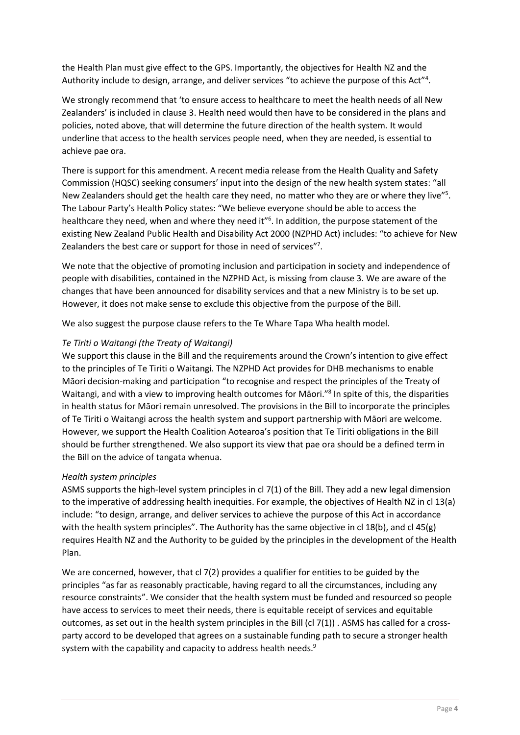the Health Plan must give effect to the GPS. Importantly, the objectives for Health NZ and the Authority include to design, arrange, and deliver services "to achieve the purpose of this Act"<sup>4</sup>.

We strongly recommend that 'to ensure access to healthcare to meet the health needs of all New Zealanders' is included in clause 3. Health need would then have to be considered in the plans and policies, noted above, that will determine the future direction of the health system*.* It would underline that access to the health services people need, when they are needed, is essential to achieve pae ora.

There is support for this amendment. A recent media release from the Health Quality and Safety Commission (HQSC) seeking consumers' input into the design of the new health system states: "all New Zealanders should get the health care they need, no matter who they are or where they live"<sup>5</sup>. The Labour Party's Health Policy states: "We believe everyone should be able to access the healthcare they need, when and where they need it"<sup>6</sup>. In addition, the purpose statement of the existing New Zealand Public Health and Disability Act 2000 (NZPHD Act) includes: "to achieve for New Zealanders the best care or support for those in need of services"<sup>7</sup>.

We note that the objective of promoting inclusion and participation in society and independence of people with disabilities, contained in the NZPHD Act, is missing from clause 3. We are aware of the changes that have been announced for disability services and that a new Ministry is to be set up. However, it does not make sense to exclude this objective from the purpose of the Bill.

We also suggest the purpose clause refers to the Te Whare Tapa Wha health model.

#### *Te Tiriti o Waitangi (the Treaty of Waitangi)*

We support this clause in the Bill and the requirements around the Crown's intention to give effect to the principles of Te Tiriti o Waitangi. The NZPHD Act provides for DHB mechanisms to enable Māori decision-making and participation "to recognise and respect the principles of the Treaty of Waitangi, and with a view to improving health outcomes for Māori."<sup>8</sup> In spite of this, the disparities in health status for Māori remain unresolved. The provisions in the Bill to incorporate the principles of Te Tiriti o Waitangi across the health system and support partnership with Māori are welcome. However, we support the Health Coalition Aotearoa's position that Te Tiriti obligations in the Bill should be further strengthened. We also support its view that pae ora should be a defined term in the Bill on the advice of tangata whenua.

#### *Health system principles*

ASMS supports the high-level system principles in cl 7(1) of the Bill. They add a new legal dimension to the imperative of addressing health inequities. For example, the objectives of Health NZ in cl 13(a) include: "to design, arrange, and deliver services to achieve the purpose of this Act in accordance with the health system principles". The Authority has the same objective in cl 18(b), and cl 45(g) requires Health NZ and the Authority to be guided by the principles in the development of the Health Plan.

We are concerned, however, that cl 7(2) provides a qualifier for entities to be guided by the principles "as far as reasonably practicable, having regard to all the circumstances, including any resource constraints". We consider that the health system must be funded and resourced so people have access to services to meet their needs, there is equitable receipt of services and equitable outcomes, as set out in the health system principles in the Bill (cl  $7(1)$ ). ASMS has called for a crossparty accord to be developed that agrees on a sustainable funding path to secure a stronger health system with the capability and capacity to address health needs.<sup>9</sup>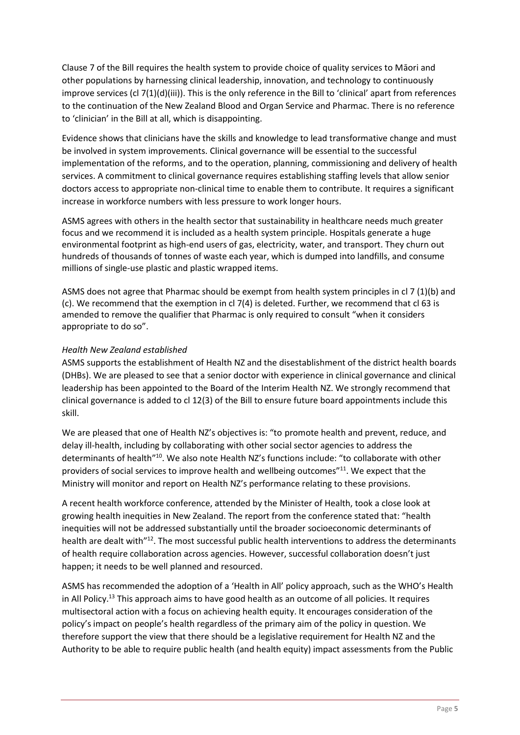Clause 7 of the Bill requires the health system to provide choice of quality services to Māori and other populations by harnessing clinical leadership, innovation, and technology to continuously improve services (cl 7(1)(d)(iii)). This is the only reference in the Bill to 'clinical' apart from references to the continuation of the New Zealand Blood and Organ Service and Pharmac. There is no reference to 'clinician' in the Bill at all, which is disappointing.

Evidence shows that clinicians have the skills and knowledge to lead transformative change and must be involved in system improvements. Clinical governance will be essential to the successful implementation of the reforms, and to the operation, planning, commissioning and delivery of health services. A commitment to clinical governance requires establishing staffing levels that allow senior doctors access to appropriate non-clinical time to enable them to contribute. It requires a significant increase in workforce numbers with less pressure to work longer hours.

ASMS agrees with others in the health sector that sustainability in healthcare needs much greater focus and we recommend it is included as a health system principle. Hospitals generate a huge environmental footprint as high-end users of gas, electricity, water, and transport. They churn out hundreds of thousands of tonnes of waste each year, which is dumped into landfills, and consume millions of single-use plastic and plastic wrapped items.

ASMS does not agree that Pharmac should be exempt from health system principles in cl 7 (1)(b) and (c). We recommend that the exemption in cl 7(4) is deleted. Further, we recommend that cl 63 is amended to remove the qualifier that Pharmac is only required to consult "when it considers appropriate to do so".

## *Health New Zealand established*

ASMS supports the establishment of Health NZ and the disestablishment of the district health boards (DHBs). We are pleased to see that a senior doctor with experience in clinical governance and clinical leadership has been appointed to the Board of the Interim Health NZ. We strongly recommend that clinical governance is added to cl 12(3) of the Bill to ensure future board appointments include this skill.

We are pleased that one of Health NZ's objectives is: "to promote health and prevent, reduce, and delay ill-health, including by collaborating with other social sector agencies to address the determinants of health"<sup>10</sup>. We also note Health NZ's functions include: "to collaborate with other providers of social services to improve health and wellbeing outcomes"<sup>11</sup>. We expect that the Ministry will monitor and report on Health NZ's performance relating to these provisions.

A recent health workforce conference, attended by the Minister of Health, took a close look at growing health inequities in New Zealand. The report from the conference stated that: "health inequities will not be addressed substantially until the broader socioeconomic determinants of health are dealt with"<sup>12</sup>. The most successful public health interventions to address the determinants of health require collaboration across agencies. However, successful collaboration doesn't just happen; it needs to be well planned and resourced.

ASMS has recommended the adoption of a 'Health in All' policy approach, such as the WHO's Health in All Policy.<sup>13</sup> This approach aims to have good health as an outcome of all policies. It requires multisectoral action with a focus on achieving health equity. It encourages consideration of the policy's impact on people's health regardless of the primary aim of the policy in question. We therefore support the view that there should be a legislative requirement for Health NZ and the Authority to be able to require public health (and health equity) impact assessments from the Public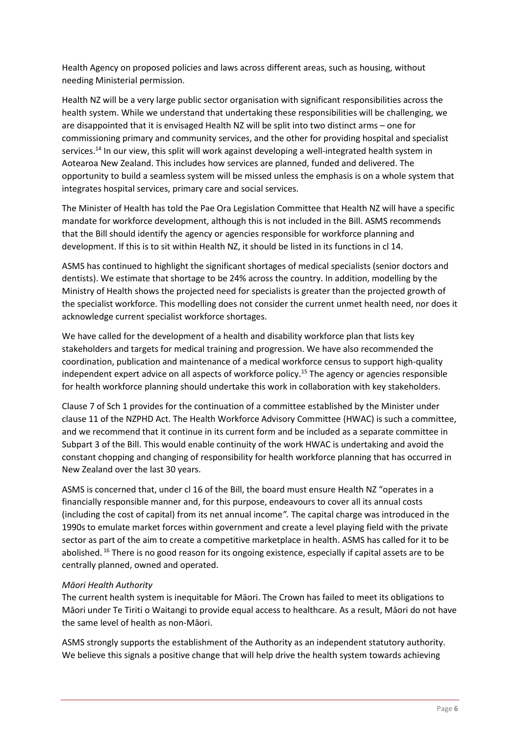Health Agency on proposed policies and laws across different areas, such as housing, without needing Ministerial permission.

Health NZ will be a very large public sector organisation with significant responsibilities across the health system. While we understand that undertaking these responsibilities will be challenging, we are disappointed that it is envisaged Health NZ will be split into two distinct arms – one for commissioning primary and community services, and the other for providing hospital and specialist services.<sup>14</sup> In our view, this split will work against developing a well-integrated health system in Aotearoa New Zealand. This includes how services are planned, funded and delivered. The opportunity to build a seamless system will be missed unless the emphasis is on a whole system that integrates hospital services, primary care and social services.

The Minister of Health has told the Pae Ora Legislation Committee that Health NZ will have a specific mandate for workforce development, although this is not included in the Bill. ASMS recommends that the Bill should identify the agency or agencies responsible for workforce planning and development. If this is to sit within Health NZ, it should be listed in its functions in cl 14.

ASMS has continued to highlight the significant shortages of medical specialists (senior doctors and dentists). We estimate that shortage to be 24% across the country. In addition, modelling by the Ministry of Health shows the projected need for specialists is greater than the projected growth of the specialist workforce. This modelling does not consider the current unmet health need, nor does it acknowledge current specialist workforce shortages.

We have called for the development of a health and disability workforce plan that lists key stakeholders and targets for medical training and progression. We have also recommended the coordination, publication and maintenance of a medical workforce census to support high-quality independent expert advice on all aspects of workforce policy.<sup>15</sup> The agency or agencies responsible for health workforce planning should undertake this work in collaboration with key stakeholders.

Clause 7 of Sch 1 provides for the continuation of a committee established by the Minister under clause 11 of the NZPHD Act. The Health Workforce Advisory Committee (HWAC) is such a committee, and we recommend that it continue in its current form and be included as a separate committee in Subpart 3 of the Bill. This would enable continuity of the work HWAC is undertaking and avoid the constant chopping and changing of responsibility for health workforce planning that has occurred in New Zealand over the last 30 years.

ASMS is concerned that, under cl 16 of the Bill, the board must ensure Health NZ "operates in a financially responsible manner and, for this purpose, endeavours to cover all its annual costs (including the cost of capital) from its net annual income*".* The capital charge was introduced in the 1990s to emulate market forces within government and create a level playing field with the private sector as part of the aim to create a competitive marketplace in health. ASMS has called for it to be abolished. <sup>16</sup> There is no good reason for its ongoing existence, especially if capital assets are to be centrally planned, owned and operated.

## *Māori Health Authority*

The current health system is inequitable for Māori. The Crown has failed to meet its obligations to Māori under Te Tiriti o Waitangi to provide equal access to healthcare. As a result, Māori do not have the same level of health as non-Māori.

ASMS strongly supports the establishment of the Authority as an independent statutory authority. We believe this signals a positive change that will help drive the health system towards achieving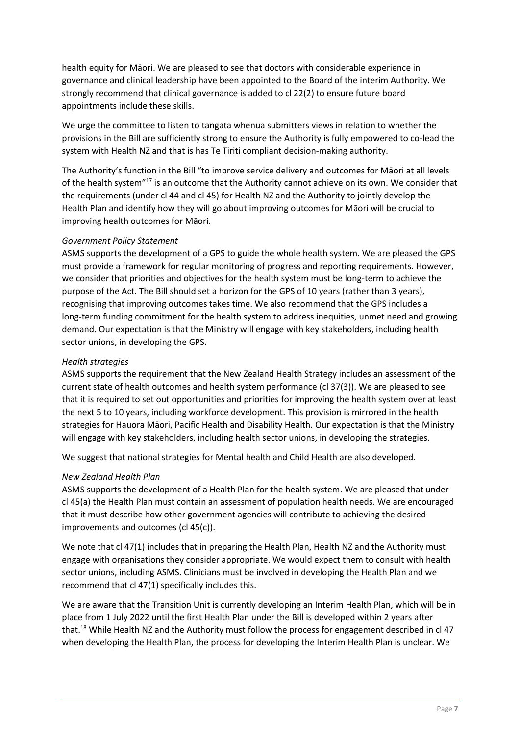health equity for Māori. We are pleased to see that doctors with considerable experience in governance and clinical leadership have been appointed to the Board of the interim Authority. We strongly recommend that clinical governance is added to cl 22(2) to ensure future board appointments include these skills.

We urge the committee to listen to tangata whenua submitters views in relation to whether the provisions in the Bill are sufficiently strong to ensure the Authority is fully empowered to co-lead the system with Health NZ and that is has Te Tiriti compliant decision-making authority.

The Authority's function in the Bill "to improve service delivery and outcomes for Māori at all levels of the health system"<sup>17</sup> is an outcome that the Authority cannot achieve on its own. We consider that the requirements (under cl 44 and cl 45) for Health NZ and the Authority to jointly develop the Health Plan and identify how they will go about improving outcomes for Māori will be crucial to improving health outcomes for Māori.

#### *Government Policy Statement*

ASMS supports the development of a GPS to guide the whole health system. We are pleased the GPS must provide a framework for regular monitoring of progress and reporting requirements. However, we consider that priorities and objectives for the health system must be long-term to achieve the purpose of the Act. The Bill should set a horizon for the GPS of 10 years (rather than 3 years), recognising that improving outcomes takes time. We also recommend that the GPS includes a long-term funding commitment for the health system to address inequities, unmet need and growing demand. Our expectation is that the Ministry will engage with key stakeholders, including health sector unions, in developing the GPS.

#### *Health strategies*

ASMS supports the requirement that the New Zealand Health Strategy includes an assessment of the current state of health outcomes and health system performance (cl 37(3)). We are pleased to see that it is required to set out opportunities and priorities for improving the health system over at least the next 5 to 10 years, including workforce development. This provision is mirrored in the health strategies for Hauora Māori, Pacific Health and Disability Health. Our expectation is that the Ministry will engage with key stakeholders, including health sector unions, in developing the strategies.

We suggest that national strategies for Mental health and Child Health are also developed.

## *New Zealand Health Plan*

ASMS supports the development of a Health Plan for the health system. We are pleased that under cl 45(a) the Health Plan must contain an assessment of population health needs. We are encouraged that it must describe how other government agencies will contribute to achieving the desired improvements and outcomes (cl 45(c)).

We note that cl 47(1) includes that in preparing the Health Plan, Health NZ and the Authority must engage with organisations they consider appropriate. We would expect them to consult with health sector unions, including ASMS. Clinicians must be involved in developing the Health Plan and we recommend that cl 47(1) specifically includes this.

We are aware that the Transition Unit is currently developing an Interim Health Plan, which will be in place from 1 July 2022 until the first Health Plan under the Bill is developed within 2 years after that.<sup>18</sup> While Health NZ and the Authority must follow the process for engagement described in cl 47 when developing the Health Plan, the process for developing the Interim Health Plan is unclear. We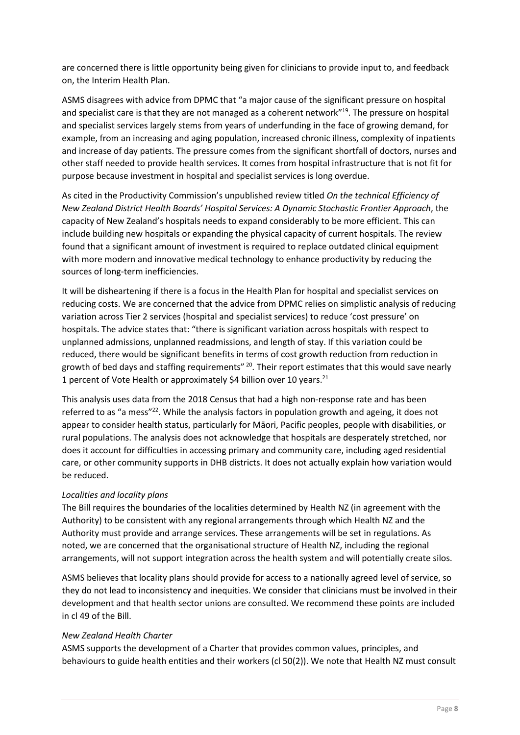are concerned there is little opportunity being given for clinicians to provide input to, and feedback on, the Interim Health Plan.

ASMS disagrees with advice from DPMC that "a major cause of the significant pressure on hospital and specialist care is that they are not managed as a coherent network" 19 . The pressure on hospital and specialist services largely stems from years of underfunding in the face of growing demand, for example, from an increasing and aging population, increased chronic illness, complexity of inpatients and increase of day patients. The pressure comes from the significant shortfall of doctors, nurses and other staff needed to provide health services. It comes from hospital infrastructure that is not fit for purpose because investment in hospital and specialist services is long overdue.

As cited in the Productivity Commission's unpublished review titled *On the technical Efficiency of New Zealand District Health Boards' Hospital Services: A Dynamic Stochastic Frontier Approach*, the capacity of New Zealand's hospitals needs to expand considerably to be more efficient. This can include building new hospitals or expanding the physical capacity of current hospitals. The review found that a significant amount of investment is required to replace outdated clinical equipment with more modern and innovative medical technology to enhance productivity by reducing the sources of long-term inefficiencies.

It will be disheartening if there is a focus in the Health Plan for hospital and specialist services on reducing costs. We are concerned that the advice from DPMC relies on simplistic analysis of reducing variation across Tier 2 services (hospital and specialist services) to reduce 'cost pressure' on hospitals. The advice states that: "there is significant variation across hospitals with respect to unplanned admissions, unplanned readmissions, and length of stay. If this variation could be reduced, there would be significant benefits in terms of cost growth reduction from reduction in growth of bed days and staffing requirements" <sup>20</sup>. Their report estimates that this would save nearly 1 percent of Vote Health or approximately \$4 billion over 10 years.<sup>21</sup>

This analysis uses data from the 2018 Census that had a high non-response rate and has been referred to as "a mess"<sup>22</sup>. While the analysis factors in population growth and ageing, it does not appear to consider health status, particularly for Māori, Pacific peoples, people with disabilities, or rural populations. The analysis does not acknowledge that hospitals are desperately stretched, nor does it account for difficulties in accessing primary and community care, including aged residential care, or other community supports in DHB districts. It does not actually explain how variation would be reduced.

## *Localities and locality plans*

The Bill requires the boundaries of the localities determined by Health NZ (in agreement with the Authority) to be consistent with any regional arrangements through which Health NZ and the Authority must provide and arrange services. These arrangements will be set in regulations. As noted, we are concerned that the organisational structure of Health NZ, including the regional arrangements, will not support integration across the health system and will potentially create silos.

ASMS believes that locality plans should provide for access to a nationally agreed level of service, so they do not lead to inconsistency and inequities. We consider that clinicians must be involved in their development and that health sector unions are consulted. We recommend these points are included in cl 49 of the Bill.

#### *New Zealand Health Charter*

ASMS supports the development of a Charter that provides common values, principles, and behaviours to guide health entities and their workers (cl 50(2)). We note that Health NZ must consult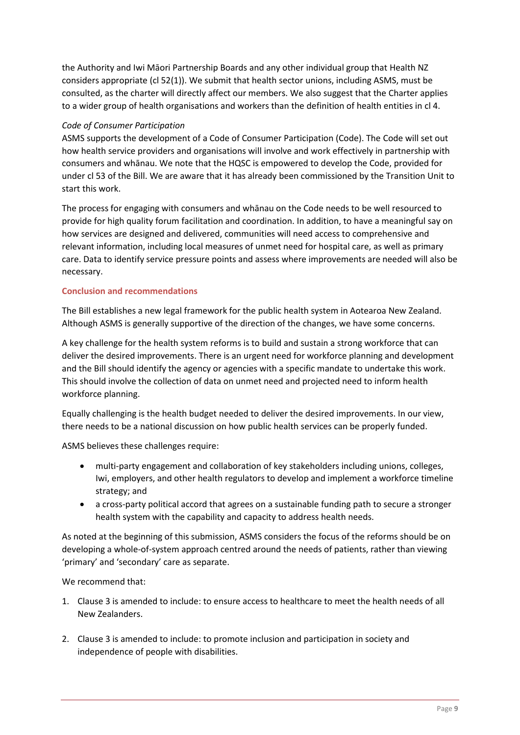the Authority and Iwi Māori Partnership Boards and any other individual group that Health NZ considers appropriate (cl 52(1)). We submit that health sector unions, including ASMS, must be consulted, as the charter will directly affect our members. We also suggest that the Charter applies to a wider group of health organisations and workers than the definition of health entities in cl 4.

#### *Code of Consumer Participation*

ASMS supports the development of a Code of Consumer Participation (Code). The Code will set out how health service providers and organisations will involve and work effectively in partnership with consumers and whānau. We note that the HQSC is empowered to develop the Code, provided for under cl 53 of the Bill. We are aware that it has already been commissioned by the Transition Unit to start this work.

The process for engaging with consumers and whānau on the Code needs to be well resourced to provide for high quality forum facilitation and coordination. In addition, to have a meaningful say on how services are designed and delivered, communities will need access to comprehensive and relevant information, including local measures of unmet need for hospital care, as well as primary care. Data to identify service pressure points and assess where improvements are needed will also be necessary.

#### **Conclusion and recommendations**

The Bill establishes a new legal framework for the public health system in Aotearoa New Zealand. Although ASMS is generally supportive of the direction of the changes, we have some concerns.

A key challenge for the health system reforms is to build and sustain a strong workforce that can deliver the desired improvements. There is an urgent need for workforce planning and development and the Bill should identify the agency or agencies with a specific mandate to undertake this work. This should involve the collection of data on unmet need and projected need to inform health workforce planning.

Equally challenging is the health budget needed to deliver the desired improvements. In our view, there needs to be a national discussion on how public health services can be properly funded.

ASMS believes these challenges require:

- multi-party engagement and collaboration of key stakeholders including unions, colleges, Iwi, employers, and other health regulators to develop and implement a workforce timeline strategy; and
- a cross-party political accord that agrees on a sustainable funding path to secure a stronger health system with the capability and capacity to address health needs.

As noted at the beginning of this submission, ASMS considers the focus of the reforms should be on developing a whole-of-system approach centred around the needs of patients, rather than viewing 'primary' and 'secondary' care as separate.

We recommend that:

- 1. Clause 3 is amended to include: to ensure access to healthcare to meet the health needs of all New Zealanders.
- 2. Clause 3 is amended to include: to promote inclusion and participation in society and independence of people with disabilities.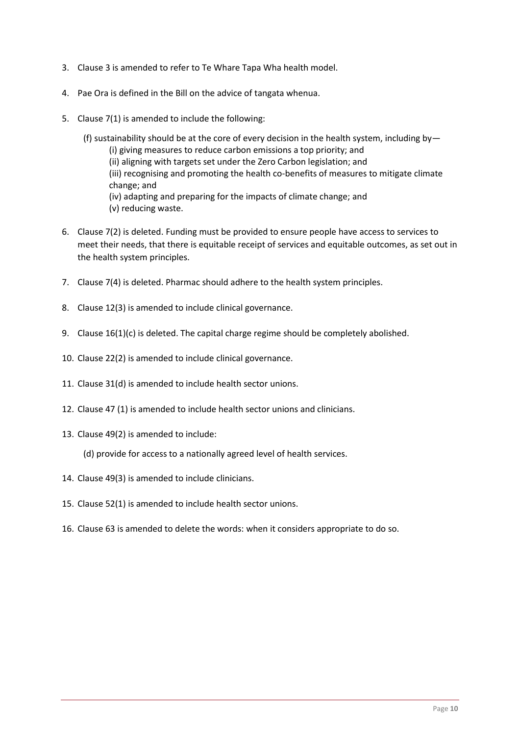- 3. Clause 3 is amended to refer to Te Whare Tapa Wha health model.
- 4. Pae Ora is defined in the Bill on the advice of tangata whenua.
- 5. Clause 7(1) is amended to include the following:
	- (f) sustainability should be at the core of every decision in the health system, including by— (i) giving measures to reduce carbon emissions a top priority; and (ii) aligning with targets set under the Zero Carbon legislation; and (iii) recognising and promoting the health co-benefits of measures to mitigate climate change; and (iv) adapting and preparing for the impacts of climate change; and (v) reducing waste.
- 6. Clause 7(2) is deleted. Funding must be provided to ensure people have access to services to meet their needs, that there is equitable receipt of services and equitable outcomes, as set out in the health system principles.
- 7. Clause 7(4) is deleted. Pharmac should adhere to the health system principles.
- 8. Clause 12(3) is amended to include clinical governance.
- 9. Clause 16(1)(c) is deleted. The capital charge regime should be completely abolished.
- 10. Clause 22(2) is amended to include clinical governance.
- 11. Clause 31(d) is amended to include health sector unions.
- 12. Clause 47 (1) is amended to include health sector unions and clinicians.
- 13. Clause 49(2) is amended to include:

(d) provide for access to a nationally agreed level of health services.

- 14. Clause 49(3) is amended to include clinicians.
- 15. Clause 52(1) is amended to include health sector unions.
- 16. Clause 63 is amended to delete the words: when it considers appropriate to do so.